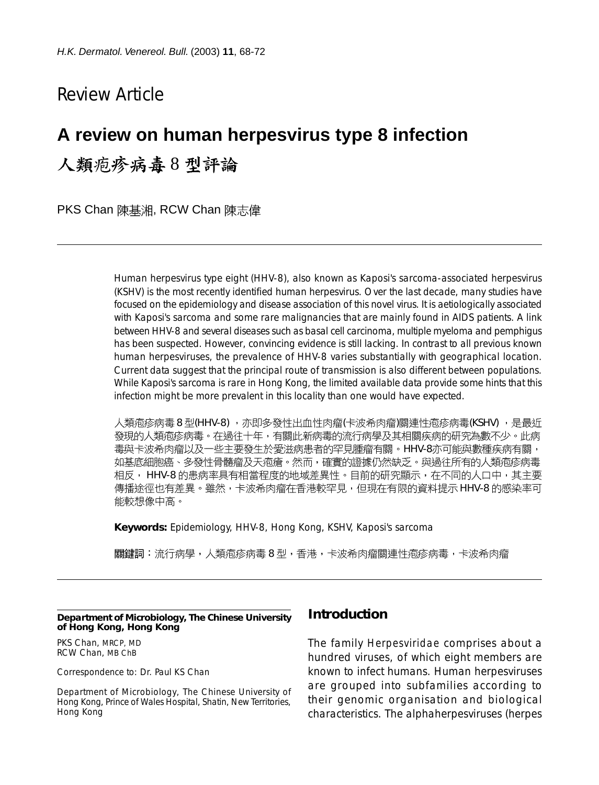# Review Article

# **A review on human herpesvirus type 8 infection**

人類疱疹病毒8型評論

PKS Chan 陳基湘, RCW Chan 陳志偉

Human herpesvirus type eight (HHV-8), also known as Kaposi's sarcoma-associated herpesvirus (KSHV) is the most recently identified human herpesvirus. Over the last decade, many studies have focused on the epidemiology and disease association of this novel virus. It is aetiologically associated with Kaposi's sarcoma and some rare malignancies that are mainly found in AIDS patients. A link between HHV-8 and several diseases such as basal cell carcinoma, multiple myeloma and pemphigus has been suspected. However, convincing evidence is still lacking. In contrast to all previous known human herpesviruses, the prevalence of HHV-8 varies substantially with geographical location. Current data suggest that the principal route of transmission is also different between populations. While Kaposi's sarcoma is rare in Hong Kong, the limited available data provide some hints that this infection might be more prevalent in this locality than one would have expected.

人類疱疹病毒 8 型(HHV-8) ,亦即多發性出血性肉瘤(卡波希肉瘤)關連性疱疹病毒(KSHV) ,是最近 發現的人類疱疹病毒。在過往十年,有關此新病毒的流行病學及其相關疾病的研究為數不少。此病 毒與卡波希肉瘤以及一些主要發生於愛滋病患者的罕見腫瘤有關。HHV-8亦可能與數種疾病有關, 如基底細胞癌、多發性骨髓瘤及天疱瘡。然而,確實的證據仍然缺乏。與過往所有的人類疱疹病毒 相反, HHV-8 的患病率具有相當程度的地域差異性。目前的研究顯示,在不同的人口中,其主要 傳播途徑也有差異。雖然,卡波希肉瘤在香港較罕見,但現在有限的資料提示 HHV-8 的感染率可 能較想像中高。

**Keywords:** Epidemiology, HHV-8, Hong Kong, KSHV, Kaposi's sarcoma

關鍵詞:流行病學,人類疱疹病毒 8 型,香港,卡波希肉瘤關連性疱疹病毒,卡波希肉瘤

#### **Department of Microbiology, The Chinese University of Hong Kong, Hong Kong**

PKS Chan, MRCP, MD RCW Chan, MB ChB

Correspondence to: Dr. Paul KS Chan

Department of Microbiology, The Chinese University of Hong Kong, Prince of Wales Hospital, Shatin, New Territories, Hong Kong

### **Introduction**

The family *Herpesviridae* comprises about a hundred viruses, of which eight members are known to infect humans. Human herpesviruses are grouped into subfamilies according to their genomic organisation and biological characteristics. The alphaherpesviruses (herpes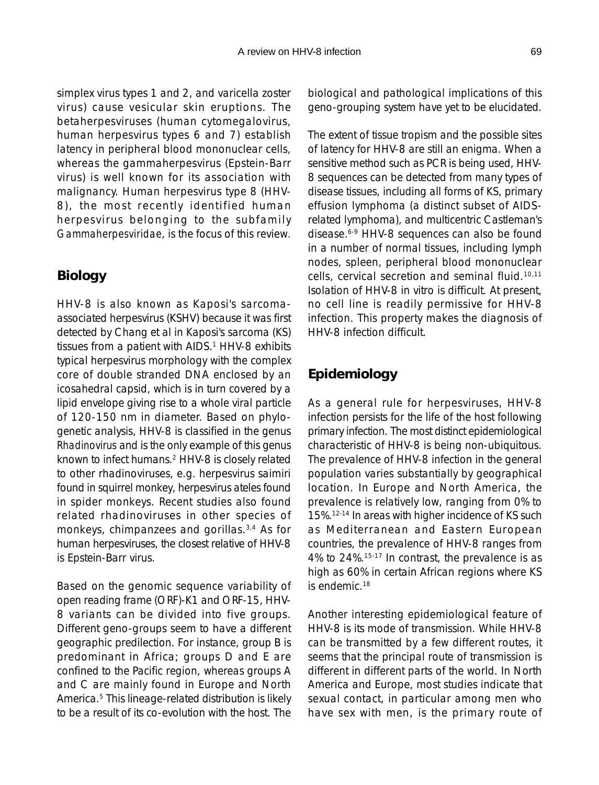simplex virus types 1 and 2, and varicella zoster virus) cause vesicular skin eruptions. The betaherpesviruses (human cytomegalovirus, human herpesvirus types 6 and 7) establish latency in peripheral blood mononuclear cells, whereas the gammaherpesvirus (Epstein-Barr virus) is well known for its association with malignancy. Human herpesvirus type 8 (HHV-8), the most recently identified human herpesvirus belonging to the subfamily *Gammaherpesviridae*, is the focus of this review.

## **Biology**

HHV-8 is also known as Kaposi's sarcomaassociated herpesvirus (KSHV) because it was first detected by Chang et al in Kaposi's sarcoma (KS) tissues from a patient with AIDS.<sup>1</sup> HHV-8 exhibits typical herpesvirus morphology with the complex core of double stranded DNA enclosed by an icosahedral capsid, which is in turn covered by a lipid envelope giving rise to a whole viral particle of 120-150 nm in diameter. Based on phylogenetic analysis, HHV-8 is classified in the genus *Rhadinovirus* and is the only example of this genus known to infect humans.2 HHV-8 is closely related to other rhadinoviruses, e.g. herpesvirus saimiri found in squirrel monkey, herpesvirus ateles found in spider monkeys. Recent studies also found related rhadinoviruses in other species of monkeys, chimpanzees and gorillas.3,4 As for human herpesviruses, the closest relative of HHV-8 is Epstein-Barr virus.

Based on the genomic sequence variability of open reading frame (ORF)-K1 and ORF-15, HHV-8 variants can be divided into five groups. Different geno-groups seem to have a different geographic predilection. For instance, group B is predominant in Africa; groups D and E are confined to the Pacific region, whereas groups A and C are mainly found in Europe and North America.5 This lineage-related distribution is likely to be a result of its co-evolution with the host. The biological and pathological implications of this geno-grouping system have yet to be elucidated.

The extent of tissue tropism and the possible sites of latency for HHV-8 are still an enigma. When a sensitive method such as PCR is being used, HHV-8 sequences can be detected from many types of disease tissues, including all forms of KS, primary effusion lymphoma (a distinct subset of AIDSrelated lymphoma), and multicentric Castleman's disease.6-9 HHV-8 sequences can also be found in a number of normal tissues, including lymph nodes, spleen, peripheral blood mononuclear cells, cervical secretion and seminal fluid.10,11 Isolation of HHV-8 in vitro is difficult. At present, no cell line is readily permissive for HHV-8 infection. This property makes the diagnosis of HHV-8 infection difficult.

## **Epidemiology**

As a general rule for herpesviruses, HHV-8 infection persists for the life of the host following primary infection. The most distinct epidemiological characteristic of HHV-8 is being non-ubiquitous. The prevalence of HHV-8 infection in the general population varies substantially by geographical location. In Europe and North America, the prevalence is relatively low, ranging from 0% to 15%.12-14 In areas with higher incidence of KS such as Mediterranean and Eastern European countries, the prevalence of HHV-8 ranges from 4% to 24%.15-17 In contrast, the prevalence is as high as 60% in certain African regions where KS is endemic.18

Another interesting epidemiological feature of HHV-8 is its mode of transmission. While HHV-8 can be transmitted by a few different routes, it seems that the principal route of transmission is different in different parts of the world. In North America and Europe, most studies indicate that sexual contact, in particular among men who have sex with men, is the primary route of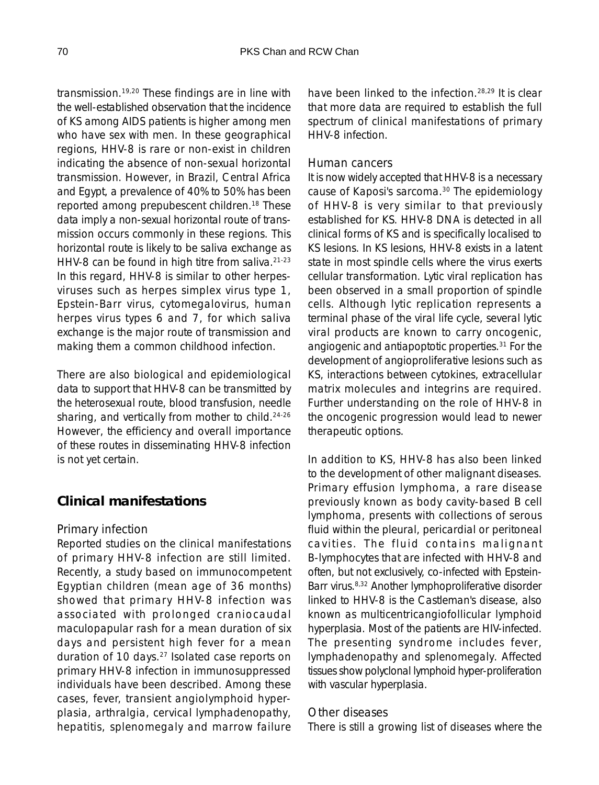transmission.19,20 These findings are in line with the well-established observation that the incidence of KS among AIDS patients is higher among men who have sex with men. In these geographical regions, HHV-8 is rare or non-exist in children indicating the absence of non-sexual horizontal transmission. However, in Brazil, Central Africa and Egypt, a prevalence of 40% to 50% has been reported among prepubescent children.18 These data imply a non-sexual horizontal route of transmission occurs commonly in these regions. This horizontal route is likely to be saliva exchange as HHV-8 can be found in high titre from saliva.<sup>21-23</sup> In this regard, HHV-8 is similar to other herpesviruses such as herpes simplex virus type 1, Epstein-Barr virus, cytomegalovirus, human herpes virus types 6 and 7, for which saliva exchange is the major route of transmission and making them a common childhood infection.

There are also biological and epidemiological data to support that HHV-8 can be transmitted by the heterosexual route, blood transfusion, needle sharing, and vertically from mother to child.<sup>24-26</sup> However, the efficiency and overall importance of these routes in disseminating HHV-8 infection is not yet certain.

## **Clinical manifestations**

#### *Primary infection*

Reported studies on the clinical manifestations of primary HHV-8 infection are still limited. Recently, a study based on immunocompetent Egyptian children (mean age of 36 months) showed that primary HHV-8 infection was associated with prolonged craniocaudal maculopapular rash for a mean duration of six days and persistent high fever for a mean duration of 10 days.27 Isolated case reports on primary HHV-8 infection in immunosuppressed individuals have been described. Among these cases, fever, transient angiolymphoid hyperplasia, arthralgia, cervical lymphadenopathy, hepatitis, splenomegaly and marrow failure

have been linked to the infection.<sup>28,29</sup> It is clear that more data are required to establish the full spectrum of clinical manifestations of primary HHV-8 infection.

#### *Human cancers*

It is now widely accepted that HHV-8 is a necessary cause of Kaposi's sarcoma.30 The epidemiology of HHV-8 is very similar to that previously established for KS. HHV-8 DNA is detected in all clinical forms of KS and is specifically localised to KS lesions. In KS lesions, HHV-8 exists in a latent state in most spindle cells where the virus exerts cellular transformation. Lytic viral replication has been observed in a small proportion of spindle cells. Although lytic replication represents a terminal phase of the viral life cycle, several lytic viral products are known to carry oncogenic, angiogenic and antiapoptotic properties.31 For the development of angioproliferative lesions such as KS, interactions between cytokines, extracellular matrix molecules and integrins are required. Further understanding on the role of HHV-8 in the oncogenic progression would lead to newer therapeutic options.

In addition to KS, HHV-8 has also been linked to the development of other malignant diseases. Primary effusion lymphoma, a rare disease previously known as body cavity-based B cell lymphoma, presents with collections of serous fluid within the pleural, pericardial or peritoneal cavities. The fluid contains malignant B-lymphocytes that are infected with HHV-8 and often, but not exclusively, co-infected with Epstein-Barr virus.8,32 Another lymphoproliferative disorder linked to HHV-8 is the Castleman's disease, also known as multicentricangiofollicular lymphoid hyperplasia. Most of the patients are HIV-infected. The presenting syndrome includes fever, lymphadenopathy and splenomegaly. Affected tissues show polyclonal lymphoid hyper-proliferation with vascular hyperplasia.

#### *Other diseases*

There is still a growing list of diseases where the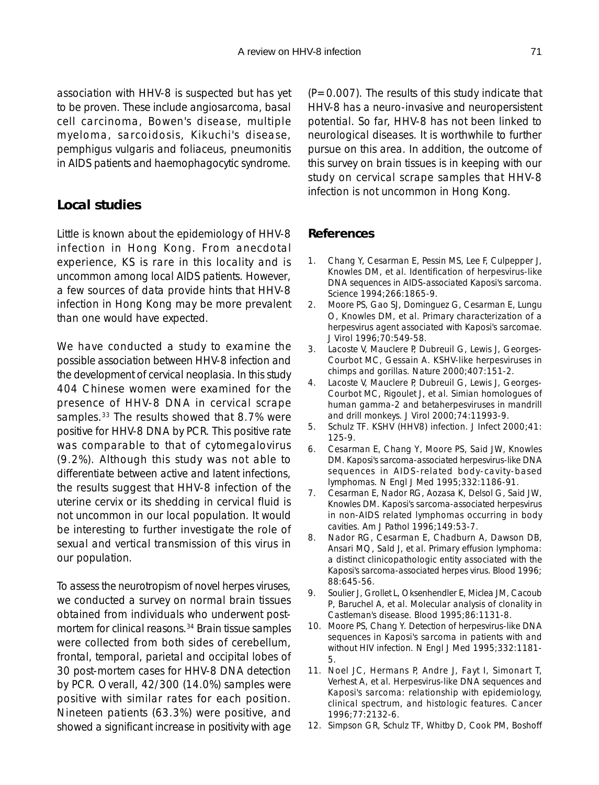association with HHV-8 is suspected but has yet to be proven. These include angiosarcoma, basal cell carcinoma, Bowen's disease, multiple myeloma, sarcoidosis, Kikuchi's disease, pemphigus vulgaris and foliaceus, pneumonitis in AIDS patients and haemophagocytic syndrome.

### **Local studies**

Little is known about the epidemiology of HHV-8 infection in Hong Kong. From anecdotal experience, KS is rare in this locality and is uncommon among local AIDS patients. However, a few sources of data provide hints that HHV-8 infection in Hong Kong may be more prevalent than one would have expected.

We have conducted a study to examine the possible association between HHV-8 infection and the development of cervical neoplasia. In this study 404 Chinese women were examined for the presence of HHV-8 DNA in cervical scrape samples.<sup>33</sup> The results showed that 8.7% were positive for HHV-8 DNA by PCR. This positive rate was comparable to that of cytomegalovirus (9.2%). Although this study was not able to differentiate between active and latent infections, the results suggest that HHV-8 infection of the uterine cervix or its shedding in cervical fluid is not uncommon in our local population. It would be interesting to further investigate the role of sexual and vertical transmission of this virus in our population.

To assess the neurotropism of novel herpes viruses, we conducted a survey on normal brain tissues obtained from individuals who underwent postmortem for clinical reasons.<sup>34</sup> Brain tissue samples were collected from both sides of cerebellum, frontal, temporal, parietal and occipital lobes of 30 post-mortem cases for HHV-8 DNA detection by PCR. Overall, 42/300 (14.0%) samples were positive with similar rates for each position. Nineteen patients (63.3%) were positive, and showed a significant increase in positivity with age

 $(P=0.007)$ . The results of this study indicate that HHV-8 has a neuro-invasive and neuropersistent potential. So far, HHV-8 has not been linked to neurological diseases. It is worthwhile to further pursue on this area. In addition, the outcome of this survey on brain tissues is in keeping with our study on cervical scrape samples that HHV-8 infection is not uncommon in Hong Kong.

#### **References**

- 1. Chang Y, Cesarman E, Pessin MS, Lee F, Culpepper J, Knowles DM, et al. Identification of herpesvirus-like DNA sequences in AIDS-associated Kaposi's sarcoma. Science 1994;266:1865-9.
- 2. Moore PS, Gao SJ, Dominguez G, Cesarman E, Lungu O, Knowles DM, et al. Primary characterization of a herpesvirus agent associated with Kaposi's sarcomae. J Virol 1996;70:549-58.
- 3. Lacoste V, Mauclere P, Dubreuil G, Lewis J, Georges-Courbot MC, Gessain A. KSHV-like herpesviruses in chimps and gorillas. Nature 2000;407:151-2.
- 4. Lacoste V, Mauclere P, Dubreuil G, Lewis J, Georges-Courbot MC, Rigoulet J, et al. Simian homologues of human gamma-2 and betaherpesviruses in mandrill and drill monkeys. J Virol 2000;74:11993-9.
- 5. Schulz TF. KSHV (HHV8) infection. J Infect 2000;41: 125-9.
- 6. Cesarman E, Chang Y, Moore PS, Said JW, Knowles DM. Kaposi's sarcoma-associated herpesvirus-like DNA sequences in AIDS-related body-cavity-based lymphomas. N Engl J Med 1995;332:1186-91.
- 7. Cesarman E, Nador RG, Aozasa K, Delsol G, Said JW, Knowles DM. Kaposi's sarcoma-associated herpesvirus in non-AIDS related lymphomas occurring in body cavities. Am J Pathol 1996;149:53-7.
- 8. Nador RG, Cesarman E, Chadburn A, Dawson DB, Ansari MQ, Sald J, et al. Primary effusion lymphoma: a distinct clinicopathologic entity associated with the Kaposi's sarcoma-associated herpes virus. Blood 1996; 88:645-56.
- 9. Soulier J, Grollet L, Oksenhendler E, Miclea JM, Cacoub P, Baruchel A, et al. Molecular analysis of clonality in Castleman's disease. Blood 1995;86:1131-8.
- 10. Moore PS, Chang Y. Detection of herpesvirus-like DNA sequences in Kaposi's sarcoma in patients with and without HIV infection. N Engl J Med 1995;332:1181- 5.
- 11. Noel JC, Hermans P, Andre J, Fayt I, Simonart T, Verhest A, et al. Herpesvirus-like DNA sequences and Kaposi's sarcoma: relationship with epidemiology, clinical spectrum, and histologic features. Cancer 1996;77:2132-6.
- 12. Simpson GR, Schulz TF, Whitby D, Cook PM, Boshoff